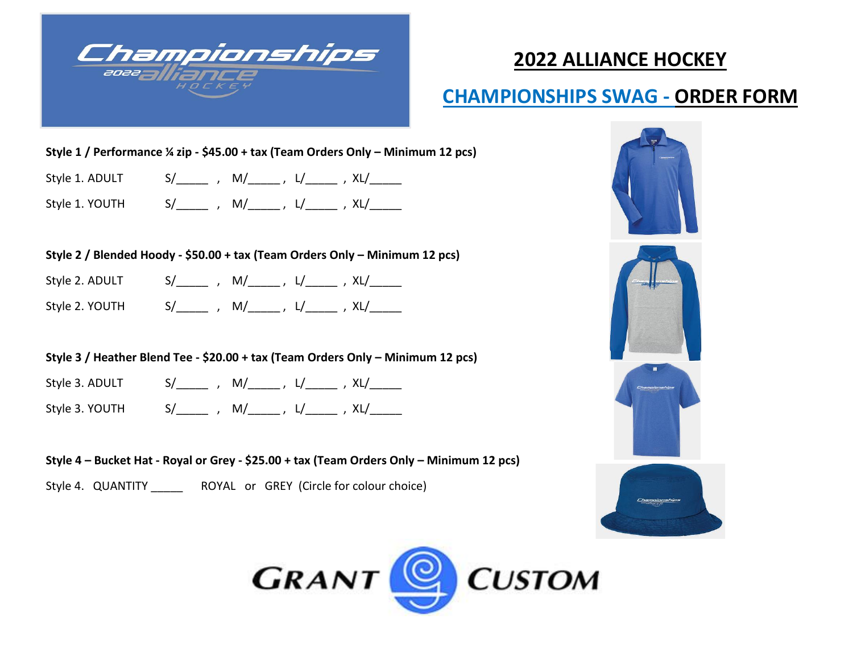

# **2022 ALLIANCE HOCKEY**

## **CHAMPIONSHIPS SWAG - ORDER FORM**

#### **Style 1 / Performance ¼ zip - \$45.00 + tax (Team Orders Only – Minimum 12 pcs)**

| Style 1<br>. . |  |
|----------------|--|
|----------------|--|

Style 1. YOUTH  $S/\_$  , M/ $\_$ , L/ $\_$ , XL/ $\_$ 

#### **Style 2 / Blended Hoody - \$50.00 + tax (Team Orders Only – Minimum 12 pcs)**

| Style 2. ADULT $S/\_\_\_\_\_$ , $M/\_\_\_\_$ , $L/\_\_\_\_$ , $XL/\_\_\_\_$ |  |  |
|-----------------------------------------------------------------------------|--|--|
| Style 2. YOUTH $S/$ , $M/$ , $L/$ , $XL/$                                   |  |  |

### **Style 3 / Heather Blend Tee - \$20.00 + tax (Team Orders Only – Minimum 12 pcs)**

| Style 3. ADULT |  |  |
|----------------|--|--|
|                |  |  |

Style 3. YOUTH  $S/$  , M/ , L/ , XL/

**Style 4 – Bucket Hat - Royal or Grey - \$25.00 + tax (Team Orders Only – Minimum 12 pcs)**

Style 4. QUANTITY \_\_\_\_\_ ROYAL or GREY (Circle for colour choice)